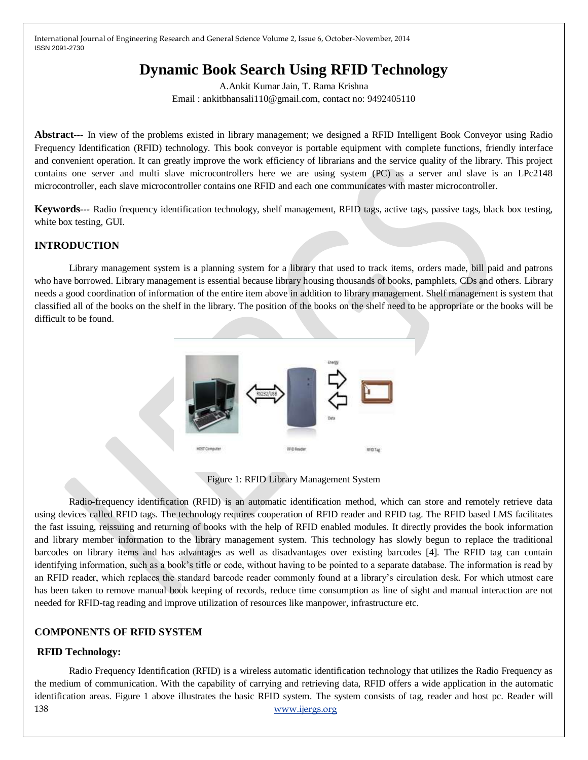# **Dynamic Book Search Using RFID Technology**

A.Ankit Kumar Jain, T. Rama Krishna Email : ankitbhansali110@gmail.com, contact no: 9492405110

**Abstract***---* In view of the problems existed in library management; we designed a RFID Intelligent Book Conveyor using Radio Frequency Identification (RFID) technology. This book conveyor is portable equipment with complete functions, friendly interface and convenient operation. It can greatly improve the work efficiency of librarians and the service quality of the library. This project contains one server and multi slave microcontrollers here we are using system (PC) as a server and slave is an LPc2148 microcontroller, each slave microcontroller contains one RFID and each one communicates with master microcontroller.

**Keywords***---* Radio frequency identification technology, shelf management, RFID tags, active tags, passive tags, black box testing, white box testing, GUI.

# **INTRODUCTION**

Library management system is a planning system for a library that used to track items, orders made, bill paid and patrons who have borrowed. Library management is essential because library housing thousands of books, pamphlets, CDs and others. Library needs a good coordination of information of the entire item above in addition to library management. Shelf management is system that classified all of the books on the shelf in the library. The position of the books on the shelf need to be appropriate or the books will be difficult to be found.



Figure 1: RFID Library Management System

Radio-frequency identification (RFID) is an automatic identification method, which can store and remotely retrieve data using devices called RFID tags. The technology requires cooperation of RFID reader and RFID tag. The RFID based LMS facilitates the fast issuing, reissuing and returning of books with the help of RFID enabled modules. It directly provides the book information and library member information to the library management system. This technology has slowly begun to replace the traditional barcodes on library items and has advantages as well as disadvantages over existing barcodes [4]. The RFID tag can contain identifying information, such as a book's title or code, without having to be pointed to a separate database. The information is read by an RFID reader, which replaces the standard barcode reader commonly found at a library's circulation desk. For which utmost care has been taken to remove manual book keeping of records, reduce time consumption as line of sight and manual interaction are not needed for RFID-tag reading and improve utilization of resources like manpower, infrastructure etc.

## **COMPONENTS OF RFID SYSTEM**

# **RFID Technology:**

138 [www.ijergs.org](http://www.ijergs.org/) Radio Frequency Identification (RFID) is a wireless automatic identification technology that utilizes the Radio Frequency as the medium of communication. With the capability of carrying and retrieving data, RFID offers a wide application in the automatic identification areas. Figure 1 above illustrates the basic RFID system. The system consists of tag, reader and host pc. Reader will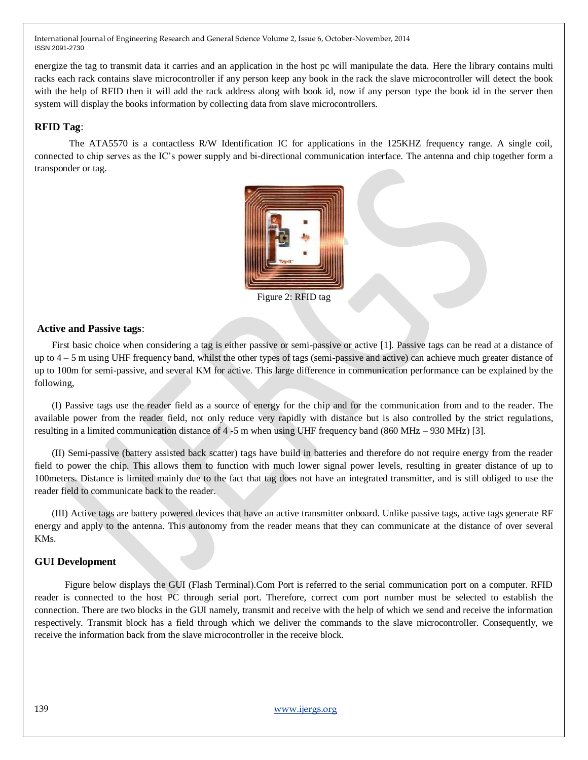energize the tag to transmit data it carries and an application in the host pc will manipulate the data. Here the library contains multi racks each rack contains slave microcontroller if any person keep any book in the rack the slave microcontroller will detect the book with the help of RFID then it will add the rack address along with book id, now if any person type the book id in the server then system will display the books information by collecting data from slave microcontrollers.

## **RFID Tag**:

The ATA5570 is a contactless R/W Identification IC for applications in the 125KHZ frequency range. A single coil, connected to chip serves as the IC's power supply and bi-directional communication interface. The antenna and chip together form a transponder or tag.



Figure 2: RFID tag

#### **Active and Passive tags**:

First basic choice when considering a tag is either passive or semi-passive or active [1]. Passive tags can be read at a distance of up to 4 – 5 m using UHF frequency band, whilst the other types of tags (semi-passive and active) can achieve much greater distance of up to 100m for semi-passive, and several KM for active. This large difference in communication performance can be explained by the following,

(I) Passive tags use the reader field as a source of energy for the chip and for the communication from and to the reader. The available power from the reader field, not only reduce very rapidly with distance but is also controlled by the strict regulations, resulting in a limited communication distance of 4 -5 m when using UHF frequency band (860 MHz – 930 MHz) [3].

(II) Semi-passive (battery assisted back scatter) tags have build in batteries and therefore do not require energy from the reader field to power the chip. This allows them to function with much lower signal power levels, resulting in greater distance of up to 100meters. Distance is limited mainly due to the fact that tag does not have an integrated transmitter, and is still obliged to use the reader field to communicate back to the reader.

(III) Active tags are battery powered devices that have an active transmitter onboard. Unlike passive tags, active tags generate RF energy and apply to the antenna. This autonomy from the reader means that they can communicate at the distance of over several KMs.

## **GUI Development**

Figure below displays the GUI (Flash Terminal).Com Port is referred to the serial communication port on a computer. RFID reader is connected to the host PC through serial port. Therefore, correct com port number must be selected to establish the connection. There are two blocks in the GUI namely, transmit and receive with the help of which we send and receive the information respectively. Transmit block has a field through which we deliver the commands to the slave microcontroller. Consequently, we receive the information back from the slave microcontroller in the receive block.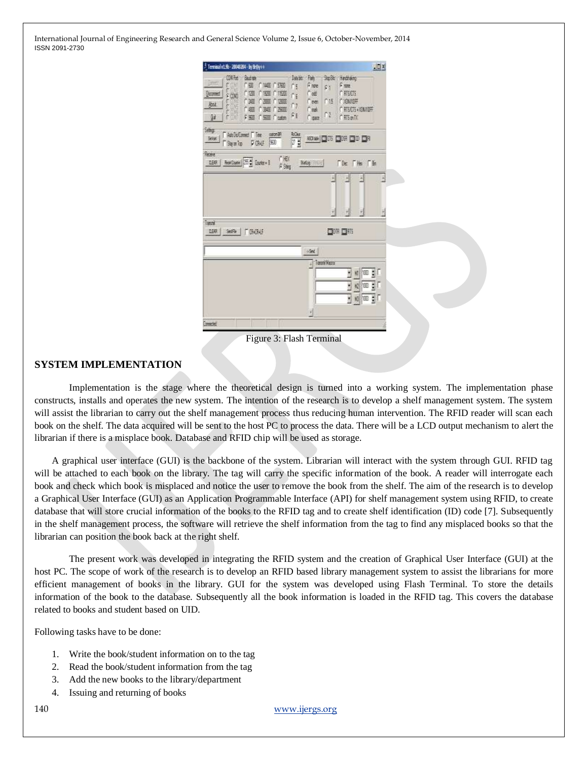

Figure 3: Flash Terminal

#### **SYSTEM IMPLEMENTATION**

Implementation is the stage where the theoretical design is turned into a working system. The implementation phase constructs, installs and operates the new system. The intention of the research is to develop a shelf management system. The system will assist the librarian to carry out the shelf management process thus reducing human intervention. The RFID reader will scan each book on the shelf. The data acquired will be sent to the host PC to process the data. There will be a LCD output mechanism to alert the librarian if there is a misplace book. Database and RFID chip will be used as storage.

A graphical user interface (GUI) is the backbone of the system. Librarian will interact with the system through GUI. RFID tag will be attached to each book on the library. The tag will carry the specific information of the book. A reader will interrogate each book and check which book is misplaced and notice the user to remove the book from the shelf. The aim of the research is to develop a Graphical User Interface (GUI) as an Application Programmable Interface (API) for shelf management system using RFID, to create database that will store crucial information of the books to the RFID tag and to create shelf identification (ID) code [7]. Subsequently in the shelf management process, the software will retrieve the shelf information from the tag to find any misplaced books so that the librarian can position the book back at the right shelf.

The present work was developed in integrating the RFID system and the creation of Graphical User Interface (GUI) at the host PC. The scope of work of the research is to develop an RFID based library management system to assist the librarians for more efficient management of books in the library. GUI for the system was developed using Flash Terminal. To store the details information of the book to the database. Subsequently all the book information is loaded in the RFID tag. This covers the database related to books and student based on UID.

Following tasks have to be done:

- 1. Write the book/student information on to the tag
- 2. Read the book/student information from the tag
- 3. Add the new books to the library/department
- 4. Issuing and returning of books

140 [www.ijergs.org](http://www.ijergs.org/)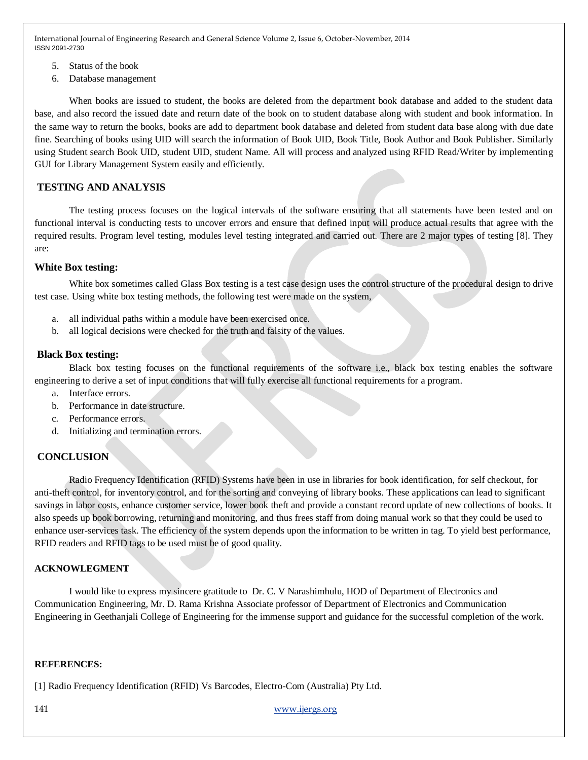- 5. Status of the book
- 6. Database management

When books are issued to student, the books are deleted from the department book database and added to the student data base, and also record the issued date and return date of the book on to student database along with student and book information. In the same way to return the books, books are add to department book database and deleted from student data base along with due date fine. Searching of books using UID will search the information of Book UID, Book Title, Book Author and Book Publisher. Similarly using Student search Book UID, student UID, student Name. All will process and analyzed using RFID Read/Writer by implementing GUI for Library Management System easily and efficiently.

## **TESTING AND ANALYSIS**

The testing process focuses on the logical intervals of the software ensuring that all statements have been tested and on functional interval is conducting tests to uncover errors and ensure that defined input will produce actual results that agree with the required results. Program level testing, modules level testing integrated and carried out. There are 2 major types of testing [8]. They are:

#### **White Box testing:**

White box sometimes called Glass Box testing is a test case design uses the control structure of the procedural design to drive test case. Using white box testing methods, the following test were made on the system,

- a. all individual paths within a module have been exercised once.
- b. all logical decisions were checked for the truth and falsity of the values.

#### **Black Box testing:**

Black box testing focuses on the functional requirements of the software i.e., black box testing enables the software engineering to derive a set of input conditions that will fully exercise all functional requirements for a program.

- a. Interface errors.
- b. Performance in date structure.
- c. Performance errors.
- d. Initializing and termination errors.

# **CONCLUSION**

Radio Frequency Identification (RFID) Systems have been in use in libraries for book identification, for self checkout, for anti-theft control, for inventory control, and for the sorting and conveying of library books. These applications can lead to significant savings in labor costs, enhance customer service, lower book theft and provide a constant record update of new collections of books. It also speeds up book borrowing, returning and monitoring, and thus frees staff from doing manual work so that they could be used to enhance user-services task. The efficiency of the system depends upon the information to be written in tag. To yield best performance, RFID readers and RFID tags to be used must be of good quality.

## **ACKNOWLEGMENT**

I would like to express my sincere gratitude to Dr. C. V Narashimhulu, HOD of Department of Electronics and Communication Engineering, Mr. D. Rama Krishna Associate professor of Department of Electronics and Communication Engineering in Geethanjali College of Engineering for the immense support and guidance for the successful completion of the work.

#### **REFERENCES:**

[1] Radio Frequency Identification (RFID) Vs Barcodes, Electro-Com (Australia) Pty Ltd.

141 [www.ijergs.org](http://www.ijergs.org/)